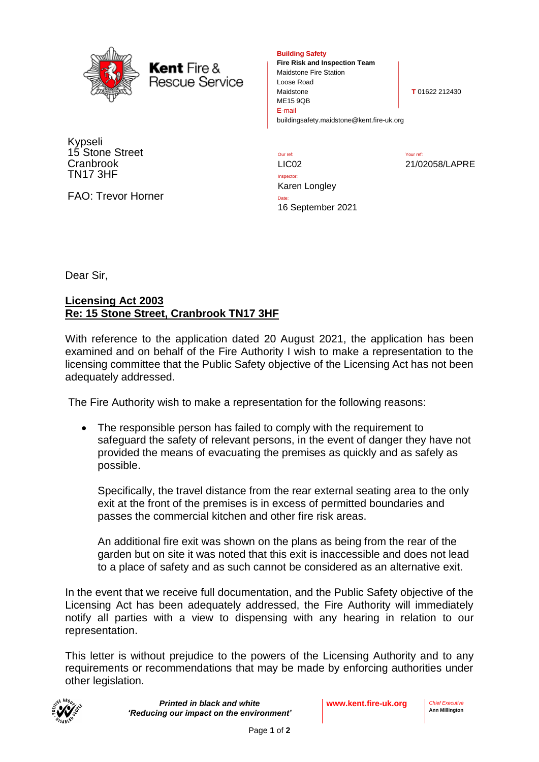

**Kent** Fire & **Rescue Service** 

Kypseli 15 Stone Street **Cranbrook** TN17 3HF

FAO: Trevor Horner

**Building Safety**

**Fire Risk and Inspection Team** Maidstone Fire Station Loose Road Maidstone **T** 01622 212430 ME15 9QB E-mail buildingsafety.maidstone@kent.fire-uk.org

Our ref: Your ref: LIC02 21/02058/LAPRE

Inspector: Karen Longley Date: 16 September 2021

Dear Sir,

## **Licensing Act 2003 Re: 15 Stone Street, Cranbrook TN17 3HF**

With reference to the application dated 20 August 2021, the application has been examined and on behalf of the Fire Authority I wish to make a representation to the licensing committee that the Public Safety objective of the Licensing Act has not been adequately addressed.

The Fire Authority wish to make a representation for the following reasons:

• The responsible person has failed to comply with the requirement to safeguard the safety of relevant persons, in the event of danger they have not provided the means of evacuating the premises as quickly and as safely as possible.

Specifically, the travel distance from the rear external seating area to the only exit at the front of the premises is in excess of permitted boundaries and passes the commercial kitchen and other fire risk areas.

An additional fire exit was shown on the plans as being from the rear of the garden but on site it was noted that this exit is inaccessible and does not lead to a place of safety and as such cannot be considered as an alternative exit.

In the event that we receive full documentation, and the Public Safety objective of the Licensing Act has been adequately addressed, the Fire Authority will immediately notify all parties with a view to dispensing with any hearing in relation to our representation.

This letter is without prejudice to the powers of the Licensing Authority and to any requirements or recommendations that may be made by enforcing authorities under other legislation.



*Printed in black and white 'Reducing our impact on the environment'*